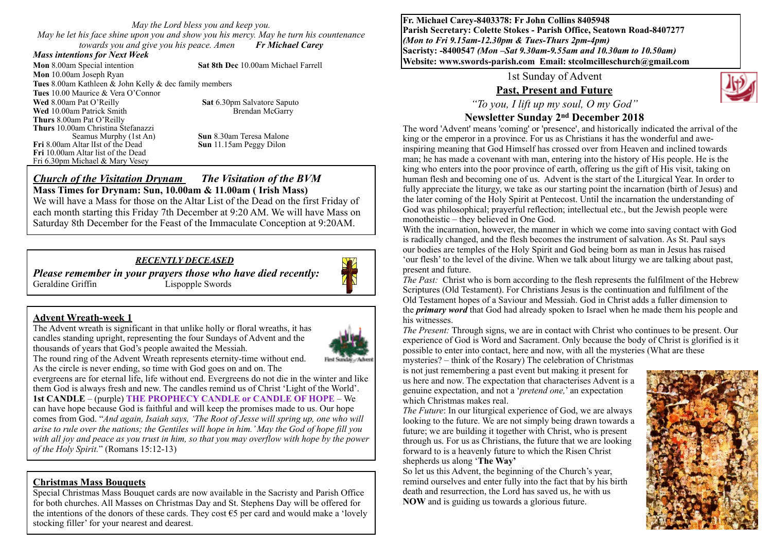*May the Lord bless you and keep you. May he let his face shine upon you and show you his mercy. May he turn his countenance towards you and give you his peace. Amen Fr Michael Carey*

#### *Mass intentions for Next Week*

**Mon** 8.00am Special intention **Sat 8th Dec** 10.00am Michael Farrell **Mon** 10.00am Joseph Ryan **Tues** 8.00am Kathleen & John Kelly & dec family members **Tues** 10.00 Maurice & Vera O'Connor **Wed** 8.00am Pat O'Reilly **Sat 6.30pm Salvatore Saputo Wed** 10.00am Patrick Smith Brendan McGarry **Thurs** 8.00am Pat O'Reilly **Thurs** 10.00am Christina Stefanazzi Seamus Murphy (1st An) **Sun** 8.30am Teresa Malone<br>Altar IIst of the Dead **Sun** 11.15am Peggy Dilon **Fri** 8.00am Altar lIst of the Dead **Fri** 10.00am Altar list of the Dead Fri 6.30pm Michael & Mary Vesey

#### *Church of the Visitation Drynam**The Visitation of the BVM* **Mass Times for Drynam: Sun, 10.00am & 11.00am ( Irish Mass)**

We will have a Mass for those on the Altar List of the Dead on the first Friday of each month starting this Friday 7th December at 9:20 AM. We will have Mass on Saturday 8th December for the Feast of the Immaculate Conception at 9:20AM.

#### *RECENTLY DECEASED*

*Please remember in your prayers those who have died recently:* Geraldine Griffin Lispopple Swords

#### **Advent Wreath-week 1**

The Advent wreath is significant in that unlike holly or floral wreaths, it has candles standing upright, representing the four Sundays of Advent and the thousands of years that God's people awaited the Messiah.



The round ring of the Advent Wreath represents eternity-time without end. As the circle is never ending, so time with God goes on and on. The

evergreens are for eternal life, life without end. Evergreens do not die in the winter and like them God is always fresh and new. The candles remind us of Christ 'Light of the World'. **1st CANDLE** – (purple) **THE PROPHECY CANDLE or CANDLE OF HOPE** – We can have hope because God is faithful and will keep the promises made to us. Our hope comes from God. "*And again, Isaiah says, 'The Root of Jesse will spring up, one who will arise to rule over the nations; the Gentiles will hope in him.' May the God of hope fill you*  with all joy and peace as you trust in him, so that you may overflow with hope by the power *of the Holy Spirit.*" (Romans 15:12-13)

#### **Christmas Mass Bouquets**

Special Christmas Mass Bouquet cards are now available in the Sacristy and Parish Office for both churches. All Masses on Christmas Day and St. Stephens Day will be offered for the intentions of the donors of these cards. They cost  $\epsilon$ 5 per card and would make a 'lovely stocking filler' for your nearest and dearest.

**Fr. Michael Carey-8403378: Fr John Collins 8405948 Parish Secretary: Colette Stokes - Parish Office, Seatown Road-8407277**  *(Mon to Fri 9.15am-12.30pm & Tues-Thurs 2pm-4pm)*  **Sacristy: -8400547** *(Mon –Sat 9.30am-9.55am and 10.30am to 10.50am)* **Website: [www.swords-parish.com Email:](http://www.swords-parish.com%20%20email) stcolmcilleschurch@gmail.com**

1st Sunday of Advent

## **Past, Present and Future**

*"To you, I lift up my soul, O my God"*

# **Newsletter Sunday 2nd December 2018**

The word 'Advent' means 'coming' or 'presence', and historically indicated the arrival of the king or the emperor in a province. For us as Christians it has the wonderful and aweinspiring meaning that God Himself has crossed over from Heaven and inclined towards man; he has made a covenant with man, entering into the history of His people. He is the king who enters into the poor province of earth, offering us the gift of His visit, taking on human flesh and becoming one of us. Advent is the start of the Liturgical Year. In order to fully appreciate the liturgy, we take as our starting point the incarnation (birth of Jesus) and the later coming of the Holy Spirit at Pentecost. Until the incarnation the understanding of God was philosophical; prayerful reflection; intellectual etc., but the Jewish people were monotheistic – they believed in One God.

With the incarnation, however, the manner in which we come into saving contact with God is radically changed, and the flesh becomes the instrument of salvation. As St. Paul says our bodies are temples of the Holy Spirit and God being born as man in Jesus has raised 'our flesh' to the level of the divine. When we talk about liturgy we are talking about past, present and future.

*The Past:* Christ who is born according to the flesh represents the fulfilment of the Hebrew Scriptures (Old Testament). For Christians Jesus is the continuation and fulfilment of the Old Testament hopes of a Saviour and Messiah. God in Christ adds a fuller dimension to the *primary word* that God had already spoken to Israel when he made them his people and his witnesses.

*The Present:* Through signs, we are in contact with Christ who continues to be present. Our experience of God is Word and Sacrament. Only because the body of Christ is glorified is it possible to enter into contact, here and now, with all the mysteries (What are these mysteries? – think of the Rosary) The celebration of Christmas

is not just remembering a past event but making it present for us here and now. The expectation that characterises Advent is a genuine expectation, and not a '*pretend one,*' an expectation which Christmas makes real.

*The Future*: In our liturgical experience of God, we are always looking to the future. We are not simply being drawn towards a future; we are building it together with Christ, who is present through us. For us as Christians, the future that we are looking forward to is a heavenly future to which the Risen Christ shepherds us along '**The Way'**

So let us this Advent, the beginning of the Church's year, remind ourselves and enter fully into the fact that by his birth death and resurrection, the Lord has saved us, he with us **NOW** and is guiding us towards a glorious future.